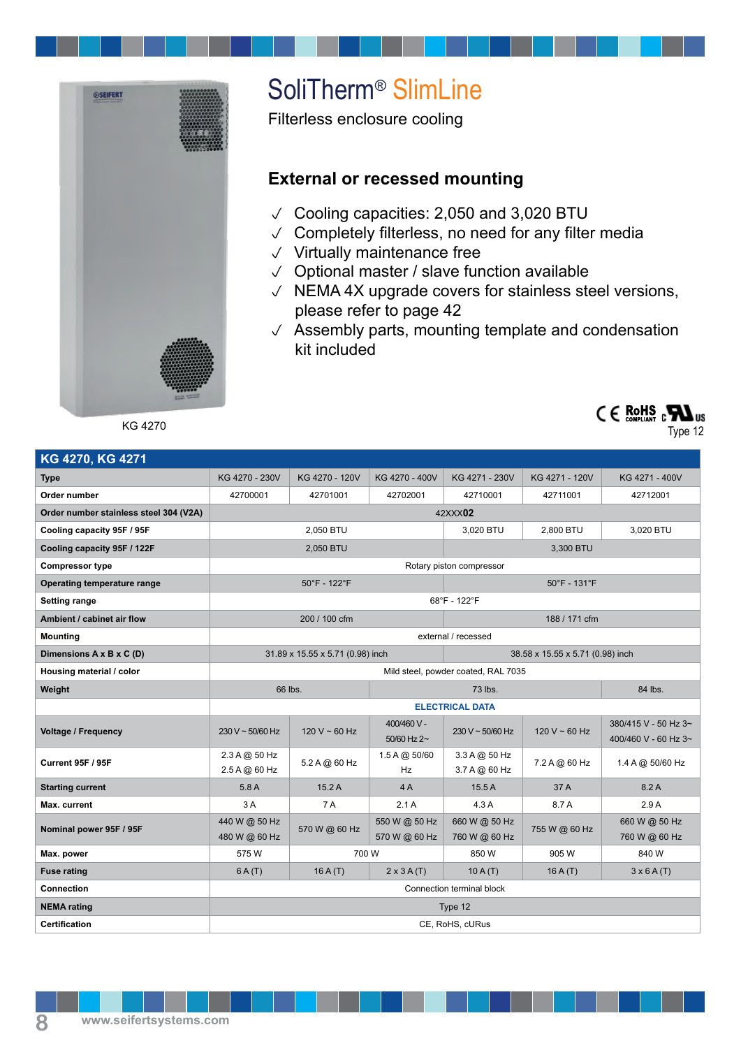

SoliTherm® SlimLine

Filterless enclosure cooling

## **External or recessed mounting**

- $\vee$  Cooling capacities: 2,050 and 3,020 BTU
- $\vee$  Completely filterless, no need for any filter media
- $\vee$  Virtually maintenance free
- $\vee$  Optional master / slave function available
- $\vee$  NEMA 4X upgrade covers for stainless steel versions, please refer to page 42
- $\sqrt{ }$  Assembly parts, mounting template and condensation kit included

KG 4270



Type 12

| KG 4270, KG 4271                       |                                     |                |                                |                                   |                |                                              |
|----------------------------------------|-------------------------------------|----------------|--------------------------------|-----------------------------------|----------------|----------------------------------------------|
| <b>Type</b>                            | KG 4270 - 230V                      | KG 4270 - 120V | KG 4270 - 400V                 | KG 4271 - 230V                    | KG 4271 - 120V | KG 4271 - 400V                               |
| Order number                           | 42700001                            | 42701001       | 42702001                       | 42710001                          | 42711001       | 42712001                                     |
| Order number stainless steel 304 (V2A) | 42XXX02                             |                |                                |                                   |                |                                              |
| Cooling capacity 95F / 95F             | 2,050 BTU                           |                |                                | 3,020 BTU                         | 2.800 BTU      | 3,020 BTU                                    |
| Cooling capacity 95F / 122F            | 2,050 BTU                           |                |                                | 3,300 BTU                         |                |                                              |
| <b>Compressor type</b>                 | Rotary piston compressor            |                |                                |                                   |                |                                              |
| Operating temperature range            | $50^{\circ}$ F - 122 $^{\circ}$ F   |                |                                | $50^{\circ}$ F - 131 $^{\circ}$ F |                |                                              |
| <b>Setting range</b>                   | $68^{\circ}$ F - 122 $^{\circ}$ F   |                |                                |                                   |                |                                              |
| Ambient / cabinet air flow             | 200 / 100 cfm                       |                |                                | 188 / 171 cfm                     |                |                                              |
| <b>Mounting</b>                        | external / recessed                 |                |                                |                                   |                |                                              |
| Dimensions A x B x C (D)               | 31.89 x 15.55 x 5.71 (0.98) inch    |                |                                | 38.58 x 15.55 x 5.71 (0.98) inch  |                |                                              |
| Housing material / color               | Mild steel, powder coated, RAL 7035 |                |                                |                                   |                |                                              |
| Weight                                 | 66 lbs.                             |                |                                | 73 lbs.                           | 84 lbs.        |                                              |
|                                        |                                     |                |                                | <b>ELECTRICAL DATA</b>            |                |                                              |
| <b>Voltage / Frequency</b>             | $230 V \sim 50/60 Hz$               | 120 V ~ 60 Hz  | 400/460 V -<br>50/60 Hz $2-$   | 230 V ~ 50/60 Hz                  | 120 V ~ 60 Hz  | 380/415 V - 50 Hz 3~<br>400/460 V - 60 Hz 3~ |
| Current 95F / 95F                      | 2.3 A @ 50 Hz<br>2.5 A @ 60 Hz      | 5.2 A @ 60 Hz  | 1.5 A @ 50/60<br>Hz            | 3.3 A @ 50 Hz<br>3.7 A @ 60 Hz    | 7.2 A @ 60 Hz  | 1.4 A @ 50/60 Hz                             |
| <b>Starting current</b>                | 5.8A                                | 15.2A          | 4A                             | 15.5A                             | 37 A           | 8.2A                                         |
| Max. current                           | 3A                                  | 7 A            | 2.1A                           | 4.3A                              | 8.7 A          | 2.9A                                         |
| Nominal power 95F / 95F                | 440 W @ 50 Hz<br>480 W @ 60 Hz      | 570 W @ 60 Hz  | 550 W @ 50 Hz<br>570 W @ 60 Hz | 660 W @ 50 Hz<br>760 W @ 60 Hz    | 755 W @ 60 Hz  | 660 W @ 50 Hz<br>760 W @ 60 Hz               |
| Max. power                             | 575W                                | 700 W          |                                | 850 W                             | 905 W          | 840 W                                        |
| <b>Fuse rating</b>                     | 6A(T)                               | 16A(T)         | $2 \times 3A(T)$               | 10A(T)                            | 16A(T)         | $3 \times 6$ A(T)                            |
| <b>Connection</b>                      | Connection terminal block           |                |                                |                                   |                |                                              |
| <b>NEMA</b> rating                     | Type 12                             |                |                                |                                   |                |                                              |
| <b>Certification</b>                   | CE, RoHS, cURus                     |                |                                |                                   |                |                                              |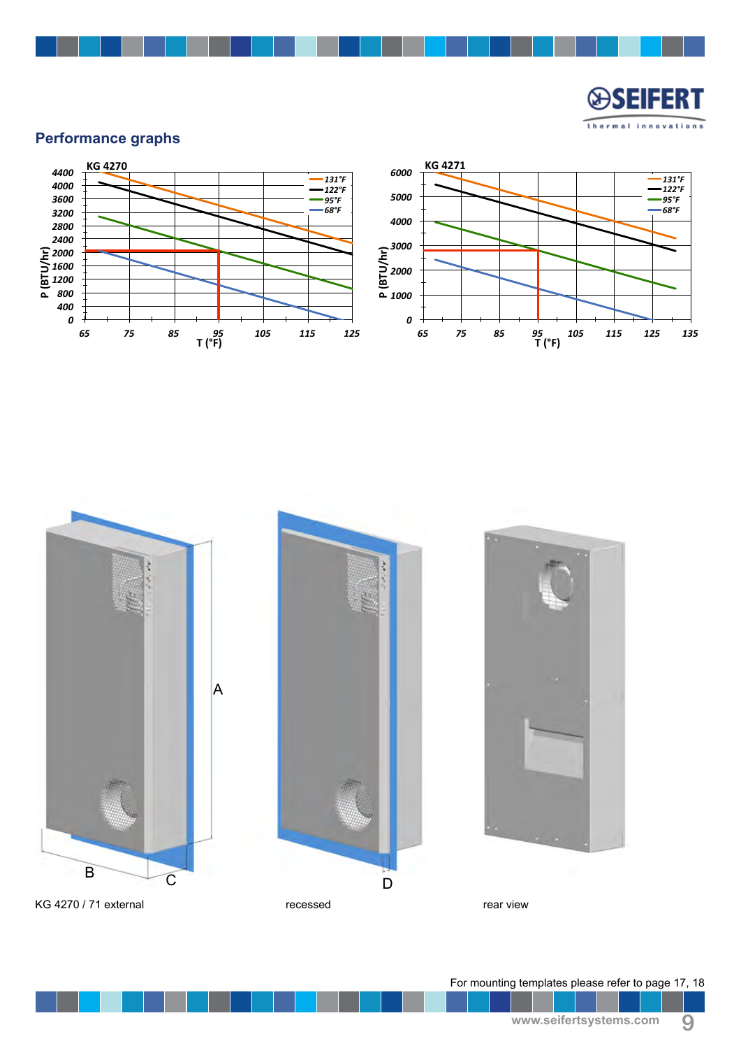

## **Performance graphs**





For mounting templates please refer to page 17, 18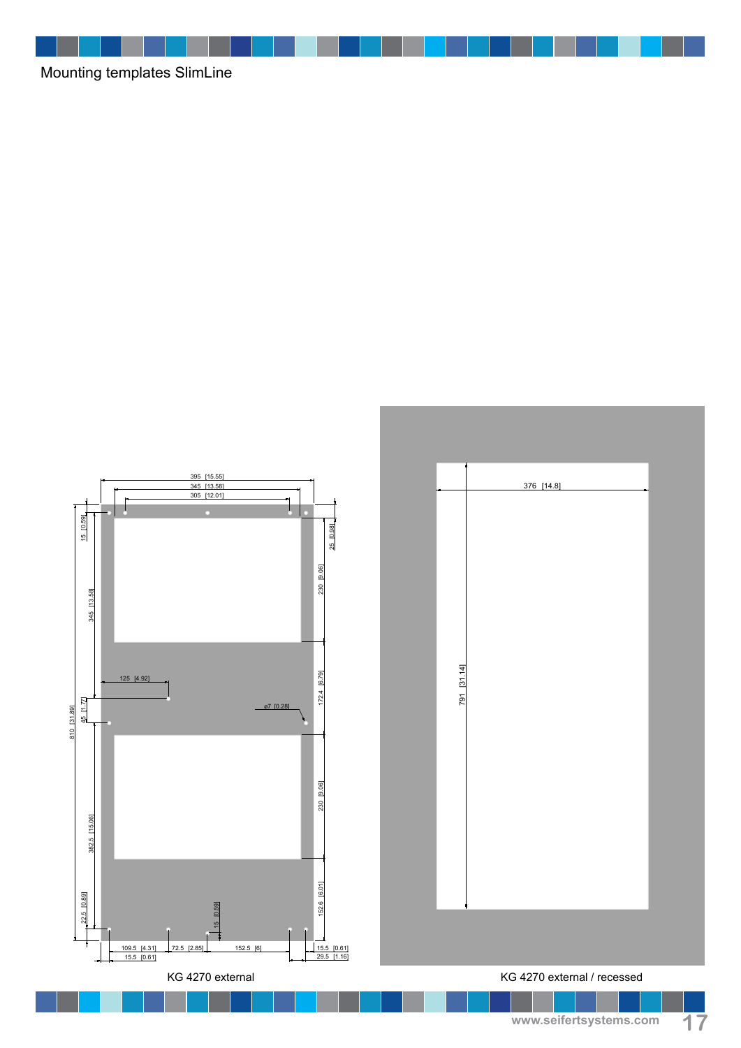Mounting templates SlimLine